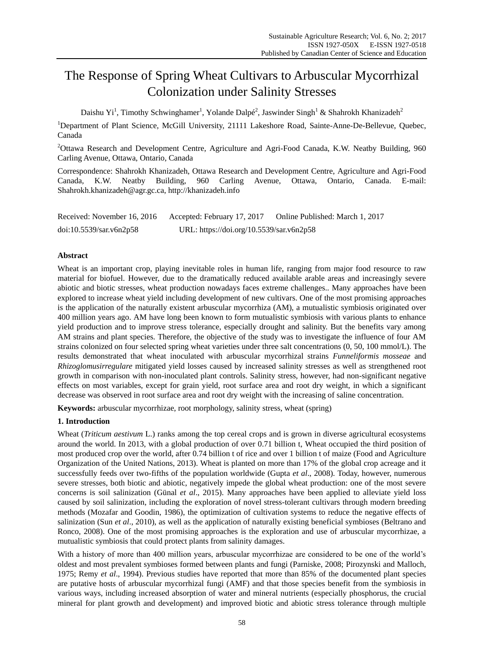# The Response of Spring Wheat Cultivars to Arbuscular Mycorrhizal Colonization under Salinity Stresses

Daishu Yi<sup>1</sup>, Timothy Schwinghamer<sup>1</sup>, Yolande Dalp  $\hat{\epsilon}$ , Jaswinder Singh<sup>1</sup> & Shahrokh Khanizadeh<sup>2</sup>

<sup>1</sup>Department of Plant Science, McGill University, 21111 Lakeshore Road, Sainte-Anne-De-Bellevue, Quebec, Canada

<sup>2</sup>Ottawa Research and Development Centre, Agriculture and Agri-Food Canada, K.W. Neatby Building, 960 Carling Avenue, Ottawa, Ontario, Canada

Correspondence: Shahrokh Khanizadeh, Ottawa Research and Development Centre, Agriculture and Agri-Food Canada, K.W. Neatby Building, 960 Carling Avenue, Ottawa, Ontario, Canada. E-mail: Shahrokh.khanizadeh@agr.gc.ca, http://khanizadeh.info

Received: November 16, 2016 Accepted: February 17, 2017 Online Published: March 1, 2017 doi:10.5539/sar.v6n2p58 URL: https://doi.org/10.5539/sar.v6n2p58

# **Abstract**

Wheat is an important crop, playing inevitable roles in human life, ranging from major food resource to raw material for biofuel. However, due to the dramatically reduced available arable areas and increasingly severe abiotic and biotic stresses, wheat production nowadays faces extreme challenges.. Many approaches have been explored to increase wheat yield including development of new cultivars. One of the most promising approaches is the application of the naturally existent arbuscular mycorrhiza (AM), a mutualistic symbiosis originated over 400 million years ago. AM have long been known to form mutualistic symbiosis with various plants to enhance yield production and to improve stress tolerance, especially drought and salinity. But the benefits vary among AM strains and plant species. Therefore, the objective of the study was to investigate the influence of four AM strains colonized on four selected spring wheat varieties under three salt concentrations (0, 50, 100 mmol/L). The results demonstrated that wheat inoculated with arbuscular mycorrhizal strains *Funneliformis mosseae* and *Rhizoglomusirregulare* mitigated yield losses caused by increased salinity stresses as well as strengthened root growth in comparison with non-inoculated plant controls. Salinity stress, however, had non-significant negative effects on most variables, except for grain yield, root surface area and root dry weight, in which a significant decrease was observed in root surface area and root dry weight with the increasing of saline concentration.

**Keywords:** arbuscular mycorrhizae, root morphology, salinity stress, wheat (spring)

# **1. Introduction**

Wheat (*Triticum aestivum* L.) ranks among the top cereal crops and is grown in diverse agricultural ecosystems around the world. In 2013, with a global production of over 0.71 billion t, Wheat occupied the third position of most produced crop over the world, after 0.74 billion t of rice and over 1 billion t of maize (Food and Agriculture Organization of the United Nations, 2013). Wheat is planted on more than 17% of the global crop acreage and it successfully feeds over two-fifths of the population worldwide (Gupta *et al*., 2008). Today, however, numerous severe stresses, both biotic and abiotic, negatively impede the global wheat production: one of the most severe concerns is soil salinization (Günal *et al*., 2015). Many approaches have been applied to alleviate yield loss caused by soil salinization, including the exploration of novel stress-tolerant cultivars through modern breeding methods (Mozafar and Goodin, 1986), the optimization of cultivation systems to reduce the negative effects of salinization (Sun *et al.*, 2010), as well as the application of naturally existing beneficial symbioses (Beltrano and Ronco, 2008). One of the most promising approaches is the exploration and use of arbuscular mycorrhizae, a mutualistic symbiosis that could protect plants from salinity damages.

With a history of more than 400 million years, arbuscular mycorrhizae are considered to be one of the world's oldest and most prevalent symbioses formed between plants and fungi (Parniske, 2008; Pirozynski and Malloch, 1975; Remy *et al*., 1994). Previous studies have reported that more than 85% of the documented plant species are putative hosts of arbuscular mycorrhizal fungi (AMF) and that those species benefit from the symbiosis in various ways, including increased absorption of water and mineral nutrients (especially phosphorus, the crucial mineral for plant growth and development) and improved biotic and abiotic stress tolerance through multiple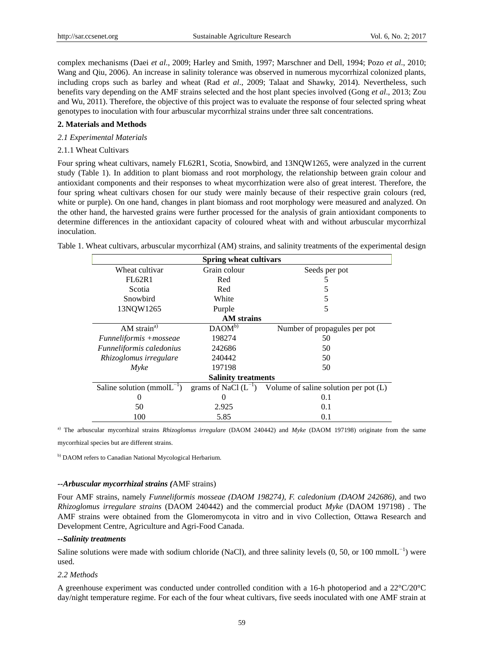complex mechanisms (Daei *et al*., 2009; Harley and Smith, 1997; Marschner and Dell, 1994; Pozo *et al*., 2010; Wang and Qiu, 2006). An increase in salinity tolerance was observed in numerous mycorrhizal colonized plants, including crops such as barley and wheat (Rad *et al*., 2009; Talaat and Shawky, 2014). Nevertheless, such benefits vary depending on the AMF strains selected and the host plant species involved (Gong *et al*., 2013; Zou and Wu, 2011). Therefore, the objective of this project was to evaluate the response of four selected spring wheat genotypes to inoculation with four arbuscular mycorrhizal strains under three salt concentrations.

## **2. Materials and Methods**

## *2.1 Experimental Materials*

## 2.1.1 Wheat Cultivars

Four spring wheat cultivars, namely FL62R1, Scotia, Snowbird, and 13NQW1265, were analyzed in the current study (Table 1). In addition to plant biomass and root morphology, the relationship between grain colour and antioxidant components and their responses to wheat mycorrhization were also of great interest. Therefore, the four spring wheat cultivars chosen for our study were mainly because of their respective grain colours (red, white or purple). On one hand, changes in plant biomass and root morphology were measured and analyzed. On the other hand, the harvested grains were further processed for the analysis of grain antioxidant components to determine differences in the antioxidant capacity of coloured wheat with and without arbuscular mycorrhizal inoculation.

Table 1. Wheat cultivars, arbuscular mycorrhizal (AM) strains, and salinity treatments of the experimental design

| <b>Spring wheat cultivars</b>         |                            |                                                                  |  |  |  |  |  |  |  |
|---------------------------------------|----------------------------|------------------------------------------------------------------|--|--|--|--|--|--|--|
| Wheat cultivar                        | Grain colour               | Seeds per pot                                                    |  |  |  |  |  |  |  |
| <b>FL62R1</b>                         | Red                        |                                                                  |  |  |  |  |  |  |  |
| Scotia                                | Red                        |                                                                  |  |  |  |  |  |  |  |
| Snowbird                              | White                      | 5                                                                |  |  |  |  |  |  |  |
| 13NQW1265                             | Purple                     | 5                                                                |  |  |  |  |  |  |  |
|                                       | <b>AM</b> strains          |                                                                  |  |  |  |  |  |  |  |
| AM strain <sup>a)</sup>               | $DAOM^{b}$                 | Number of propagules per pot                                     |  |  |  |  |  |  |  |
| <i>Funneliformis</i> + <i>mosseae</i> | 198274                     | 50                                                               |  |  |  |  |  |  |  |
| Funneliformis caledonius              | 242686                     | 50                                                               |  |  |  |  |  |  |  |
| Rhizoglomus irregulare                | 240442                     | 50                                                               |  |  |  |  |  |  |  |
| $M$ <sub>y</sub> $ke$                 | 197198                     | 50                                                               |  |  |  |  |  |  |  |
|                                       | <b>Salinity treatments</b> |                                                                  |  |  |  |  |  |  |  |
| Saline solution ( $mmolL^{-1}$ )      |                            | grams of NaCl $(L^{-1})$ Volume of saline solution per pot $(L)$ |  |  |  |  |  |  |  |
| 0                                     | $\theta$                   | 0.1                                                              |  |  |  |  |  |  |  |
| 50                                    | 2.925                      | 0.1                                                              |  |  |  |  |  |  |  |
| 100                                   | 5.85                       | 0.1                                                              |  |  |  |  |  |  |  |

a) The arbuscular mycorrhizal strains *Rhizoglomus irregulare* (DAOM 240442) and *Myke* (DAOM 197198) originate from the same mycorrhizal species but are different strains.

b) DAOM refers to Canadian National Mycological Herbarium.

#### *--Arbuscular mycorrhizal strains (*AMF strains)

Four AMF strains, namely *Funneliformis mosseae (DAOM 198274)*, *F. caledonium (DAOM 242686)*, and two *Rhizoglomus irregulare strains* (DAOM 240442) and the commercial product *Myke* (DAOM 197198) . The AMF strains were obtained from the Glomeromycota in vitro and in vivo Collection, Ottawa Research and Development Centre, Agriculture and Agri-Food Canada.

## *--Salinity treatments*

Saline solutions were made with sodium chloride (NaCl), and three salinity levels  $(0, 50, 0r 100 \text{ mmolL}^{-1})$  were used.

## *2.2 Methods*

A greenhouse experiment was conducted under controlled condition with a 16-h photoperiod and a 22°C/20°C day/night temperature regime. For each of the four wheat cultivars, five seeds inoculated with one AMF strain at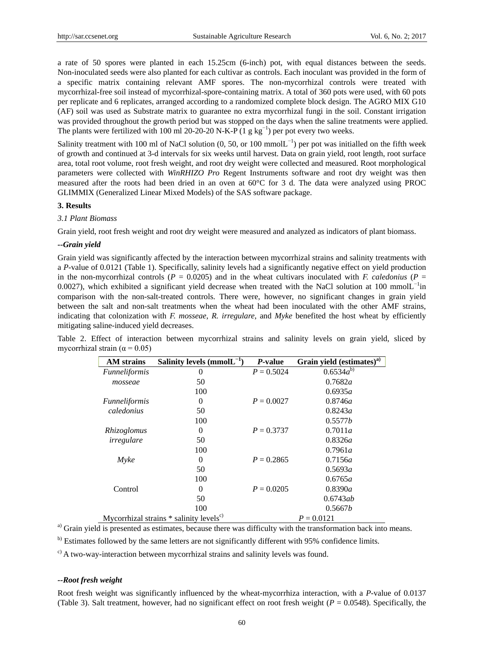a rate of 50 spores were planted in each 15.25cm (6-inch) pot, with equal distances between the seeds. Non-inoculated seeds were also planted for each cultivar as controls. Each inoculant was provided in the form of a specific matrix containing relevant AMF spores. The non-mycorrhizal controls were treated with mycorrhizal-free soil instead of mycorrhizal-spore-containing matrix. A total of 360 pots were used, with 60 pots per replicate and 6 replicates, arranged according to a randomized complete block design. The AGRO MIX G10 (AF) soil was used as Substrate matrix to guarantee no extra mycorrhizal fungi in the soil. Constant irrigation was provided throughout the growth period but was stopped on the days when the saline treatments were applied. The plants were fertilized with 100 ml 20-20-20 N-K-P (1 g  $kg^{-1}$ ) per pot every two weeks.

Salinity treatment with 100 ml of NaCl solution  $(0, 50, 0r 100$  mmol $L^{-1}$ ) per pot was initialled on the fifth week of growth and continued at 3-d intervals for six weeks until harvest. Data on grain yield, root length, root surface area, total root volume, root fresh weight, and root dry weight were collected and measured. Root morphological parameters were collected with *WinRHIZO Pro* Regent Instruments software and root dry weight was then measured after the roots had been dried in an oven at 60°C for 3 d. The data were analyzed using PROC GLIMMIX (Generalized Linear Mixed Models) of the SAS software package.

#### **3. Results**

## *3.1 Plant Biomass*

Grain yield, root fresh weight and root dry weight were measured and analyzed as indicators of plant biomass.

#### *--Grain yield*

Grain yield was significantly affected by the interaction between mycorrhizal strains and salinity treatments with a *P*-value of 0.0121 (Table 1). Specifically, salinity levels had a significantly negative effect on yield production in the non-mycorrhizal controls ( $P = 0.0205$ ) and in the wheat cultivars inoculated with *F. caledonius* ( $P = 0.0205$ ) 0.0027), which exhibited a significant yield decrease when treated with the NaCl solution at 100 mmolL<sup>-1</sup>in comparison with the non-salt-treated controls. There were, however, no significant changes in grain yield between the salt and non-salt treatments when the wheat had been inoculated with the other AMF strains, indicating that colonization with *F. mosseae*, *R. irregulare*, and *Myke* benefited the host wheat by efficiently mitigating saline-induced yield decreases.

Table 2. Effect of interaction between mycorrhizal strains and salinity levels on grain yield, sliced by mycorrhizal strain ( $\alpha$  = 0.05)

| <b>AM</b> strains    | Salinity levels $(mmolL^{-1})$                      | <i>P</i> -value | Grain yield (estimates) <sup>a)</sup> |
|----------------------|-----------------------------------------------------|-----------------|---------------------------------------|
| <i>Funneliformis</i> | $\theta$                                            | $P = 0.5024$    | $0.6534a^{b}$                         |
| mosseae              | 50                                                  |                 | 0.7682a                               |
|                      | 100                                                 |                 | 0.6935a                               |
| <i>Funneliformis</i> | $\Omega$                                            | $P = 0.0027$    | 0.8746a                               |
| caledonius           | 50                                                  |                 | 0.8243a                               |
|                      | 100                                                 |                 | 0.5577b                               |
| Rhizoglomus          | $\Omega$                                            | $P = 0.3737$    | 0.7011a                               |
| irregulare           | 50                                                  |                 | 0.8326a                               |
|                      | 100                                                 |                 | 0.7961a                               |
| Myke                 | $\Omega$                                            | $P = 0.2865$    | 0.7156a                               |
|                      | 50                                                  |                 | 0.5693a                               |
|                      | 100                                                 |                 | 0.6765a                               |
| Control              | $\Omega$                                            | $P = 0.0205$    | 0.8390a                               |
|                      | 50                                                  |                 | 0.6743ab                              |
|                      | 100                                                 |                 | 0.5667b                               |
|                      | Mycorrhizal strains * salinity levels <sup>c)</sup> |                 | $P = 0.0121$                          |

a) Grain yield is presented as estimates, because there was difficulty with the transformation back into means.

<sup>b)</sup> Estimates followed by the same letters are not significantly different with 95% confidence limits.

 $\degree$ ) A two-way-interaction between mycorrhizal strains and salinity levels was found.

## *--Root fresh weight*

Root fresh weight was significantly influenced by the wheat-mycorrhiza interaction, with a *P*-value of 0.0137 (Table 3). Salt treatment, however, had no significant effect on root fresh weight  $(P = 0.0548)$ . Specifically, the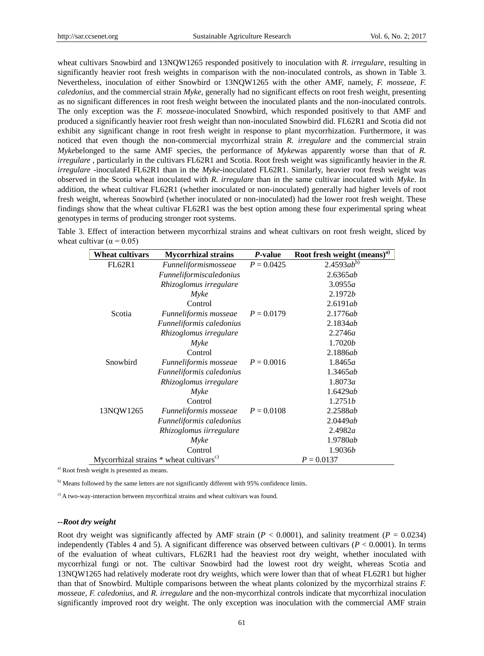wheat cultivars Snowbird and 13NQW1265 responded positively to inoculation with *R. irregulare,* resulting in significantly heavier root fresh weights in comparison with the non-inoculated controls, as shown in Table 3. Nevertheless, inoculation of either Snowbird or 13NQW1265 with the other AMF, namely, *F. mosseae*, *F. caledonius*, and the commercial strain *Myke*, generally had no significant effects on root fresh weight, presenting as no significant differences in root fresh weight between the inoculated plants and the non-inoculated controls. The only exception was the *F. mosseae*-inoculated Snowbird, which responded positively to that AMF and produced a significantly heavier root fresh weight than non-inoculated Snowbird did. FL62R1 and Scotia did not exhibit any significant change in root fresh weight in response to plant mycorrhization. Furthermore, it was noticed that even though the non-commercial mycorrhizal strain *R. irregulare* and the commercial strain *Myke*belonged to the same AMF species, the performance of *Myke*was apparently worse than that of *R. irregulare* , particularly in the cultivars FL62R1 and Scotia. Root fresh weight was significantly heavier in the *R. irregulare* -inoculated FL62R1 than in the *Myke*-inoculated FL62R1. Similarly, heavier root fresh weight was observed in the Scotia wheat inoculated with *R. irregulare* than in the same cultivar inoculated with *Myke*. In addition, the wheat cultivar FL62R1 (whether inoculated or non-inoculated) generally had higher levels of root fresh weight, whereas Snowbird (whether inoculated or non-inoculated) had the lower root fresh weight. These findings show that the wheat cultivar FL62R1 was the best option among these four experimental spring wheat genotypes in terms of producing stronger root systems.

Table 3. Effect of interaction between mycorrhizal strains and wheat cultivars on root fresh weight, sliced by wheat cultivar ( $\alpha$  = 0.05)

| <b>Wheat cultivars</b> | <b>Mycorrhizal strains</b>                          | P-value      | Root fresh weight (means) <sup>a)</sup> |  |  |
|------------------------|-----------------------------------------------------|--------------|-----------------------------------------|--|--|
| <b>FL62R1</b>          | Funneliformismosseae                                | $P = 0.0425$ | $2.4593ab^{b}$                          |  |  |
|                        | Funneliformiscaledonius                             |              | 2.6365ab                                |  |  |
|                        | Rhizoglomus irregulare                              |              | 3.0955a                                 |  |  |
|                        | Myke                                                |              | 2.1972b                                 |  |  |
|                        | Control                                             |              | 2.6191ab                                |  |  |
| Scotia                 | <i>Funneliformis mosseae</i> $P = 0.0179$           |              | 2.1776ab                                |  |  |
|                        | Funneliformis caledonius                            |              | 2.1834ab                                |  |  |
|                        | Rhizoglomus irregulare                              |              | 2.2746a                                 |  |  |
|                        | Myke                                                |              | 1.7020 <i>b</i>                         |  |  |
|                        | Control                                             |              | 2.1886ab                                |  |  |
| Snowbird               | <i>Funneliformis mosseae</i>                        | $P = 0.0016$ | 1.8465a                                 |  |  |
|                        | Funneliformis caledonius                            |              | 1.3465ab                                |  |  |
|                        | Rhizoglomus irregulare                              |              | 1.8073a                                 |  |  |
|                        | Myke                                                |              | 1.6429ab                                |  |  |
|                        | Control                                             |              | 1.2751b                                 |  |  |
| 13NQW1265              | Funneliformis mosseae                               | $P = 0.0108$ | 2.2588ab                                |  |  |
|                        | Funneliformis caledonius                            |              | 2.0449ab                                |  |  |
|                        | Rhizoglomus iirregulare                             |              | 2.4982a                                 |  |  |
|                        | <b>Myke</b>                                         |              | 1.9780ab                                |  |  |
|                        | Control                                             |              | 1.9036 <i>b</i>                         |  |  |
|                        | Mycorrhizal strains * wheat cultivars <sup>c)</sup> |              | $P = 0.0137$                            |  |  |

<sup>a)</sup> Root fresh weight is presented as means.

b) Means followed by the same letters are not significantly different with 95% confidence limits.

c) A two-way-interaction between mycorrhizal strains and wheat cultivars was found.

#### *--Root dry weight*

Root dry weight was significantly affected by AMF strain  $(P < 0.0001)$ , and salinity treatment  $(P = 0.0234)$ independently (Tables 4 and 5). A significant difference was observed between cultivars  $(P < 0.0001)$ . In terms of the evaluation of wheat cultivars, FL62R1 had the heaviest root dry weight, whether inoculated with mycorrhizal fungi or not. The cultivar Snowbird had the lowest root dry weight, whereas Scotia and 13NQW1265 had relatively moderate root dry weights, which were lower than that of wheat FL62R1 but higher than that of Snowbird. Multiple comparisons between the wheat plants colonized by the mycorrhizal strains *F. mosseae*, *F. caledonius*, and *R. irregulare* and the non-mycorrhizal controls indicate that mycorrhizal inoculation significantly improved root dry weight. The only exception was inoculation with the commercial AMF strain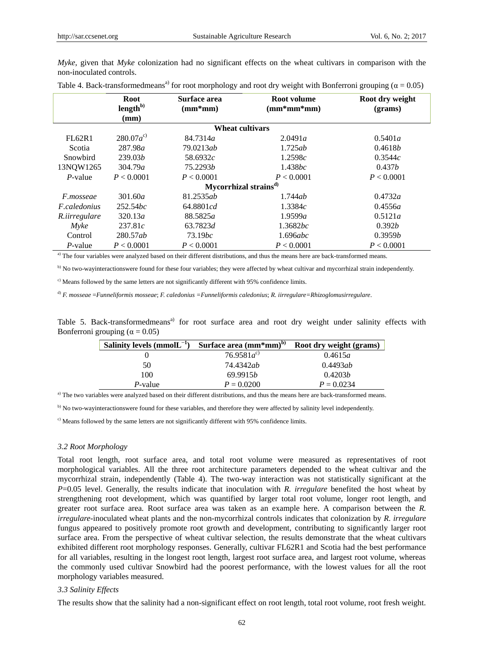*Myke*, given that *Myke* colonization had no significant effects on the wheat cultivars in comparison with the non-inoculated controls.

|                     | <b>Root</b>         | Surface area                      | Root volume  |            |  |
|---------------------|---------------------|-----------------------------------|--------------|------------|--|
|                     | length <sup>b</sup> | $(mm*mm)$                         | $(mm*mm*mm)$ | $(grams)$  |  |
|                     | (mm)                |                                   |              |            |  |
|                     |                     | <b>Wheat cultivars</b>            |              |            |  |
| FL62R1              | $280.07a^{c}$       | 84.7314 <i>a</i>                  | 2.0491a      | 0.5401a    |  |
| Scotia              | 287.98a             | 79.0213ab                         | 1.725ab      | 0.4618b    |  |
| Snowbird            | 239.03b             | 58.6932c                          | 1.2598c      | 0.3544c    |  |
| 13NQW1265           | 304.79a             | 75.2293 <i>b</i>                  | 1.438bc      | 0.437b     |  |
| $P$ -value          | P < 0.0001          | P < 0.0001                        | P < 0.0001   | P < 0.0001 |  |
|                     |                     | Mycorrhizal strains <sup>d)</sup> |              |            |  |
| <i>F.mosseae</i>    | 301.60a             | 81.2535ab                         | 1.744ab      | 0.4732a    |  |
| <i>F.caledonius</i> | 252.54bc            | 64.8801cd                         | 1.3384c      | 0.4556a    |  |
| R.iirregulare       | 320.13a             | 88.5825 <i>a</i>                  | 1.9599a      | 0.5121a    |  |
| Myke                | 237.81c             | 63.7823d                          | 1.3682bc     | 0.392b     |  |
| Control             | 280.57ab            | 73.19bc                           | 1.696abc     | 0.3959b    |  |
| $P$ -value          | P < 0.0001          | P < 0.0001                        | P < 0.0001   | P < 0.0001 |  |

Table 4. Back-transformedmeans<sup>a)</sup> for root morphology and root dry weight with Bonferroni grouping ( $\alpha = 0.05$ )

<sup>a)</sup> The four variables were analyzed based on their different distributions, and thus the means here are back-transformed means.

b) No two-wayinteractionswere found for these four variables; they were affected by wheat cultivar and mycorrhizal strain independently.

<sup>c)</sup> Means followed by the same letters are not significantly different with 95% confidence limits.

d) *F. mosseae* =*Funneliformis mosseae*; *F. caledonius =Funneliformis caledonius*; *R. iirregulare=Rhizoglomusirregulare*.

| Table 5. Back-transformedmeans <sup>a)</sup> for root surface area and root dry weight under salinity effects with |  |  |  |  |  |  |
|--------------------------------------------------------------------------------------------------------------------|--|--|--|--|--|--|
| Bonferroni grouping ( $\alpha = 0.05$ )                                                                            |  |  |  |  |  |  |

| Salinity levels $(mmolL^{-1})$ | Surface area $(mm*mm)^{b)}$ | Root dry weight (grams) |
|--------------------------------|-----------------------------|-------------------------|
|                                | 76.9581 $a^{c}$             | 0.4615a                 |
| 50                             | 74.4342 <i>ab</i>           | 0.4493ab                |
| 100                            | 69.9915 <i>b</i>            | 0.4203h                 |
| P-value                        | $P = 0.0200$                | $P = 0.0234$            |

<sup>a)</sup> The two variables were analyzed based on their different distributions, and thus the means here are back-transformed means.

b) No two-wayinteractionswere found for these variables, and therefore they were affected by salinity level independently.

<sup>c)</sup> Means followed by the same letters are not significantly different with 95% confidence limits.

#### *3.2 Root Morphology*

Total root length, root surface area, and total root volume were measured as representatives of root morphological variables. All the three root architecture parameters depended to the wheat cultivar and the mycorrhizal strain, independently (Table 4). The two-way interaction was not statistically significant at the *P*=0.05 level. Generally, the results indicate that inoculation with *R. irregulare* benefited the host wheat by strengthening root development, which was quantified by larger total root volume, longer root length, and greater root surface area. Root surface area was taken as an example here. A comparison between the *R. irregulare*-inoculated wheat plants and the non-mycorrhizal controls indicates that colonization by *R. irregulare* fungus appeared to positively promote root growth and development, contributing to significantly larger root surface area. From the perspective of wheat cultivar selection, the results demonstrate that the wheat cultivars exhibited different root morphology responses. Generally, cultivar FL62R1 and Scotia had the best performance for all variables, resulting in the longest root length, largest root surface area, and largest root volume, whereas the commonly used cultivar Snowbird had the poorest performance, with the lowest values for all the root morphology variables measured.

## *3.3 Salinity Effects*

The results show that the salinity had a non-significant effect on root length, total root volume, root fresh weight.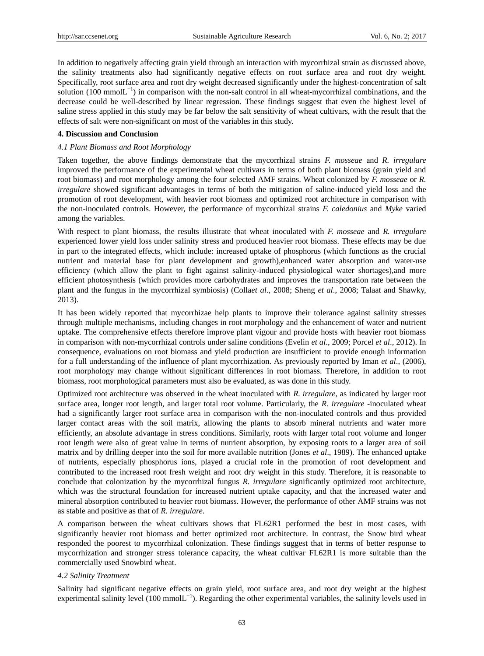In addition to negatively affecting grain yield through an interaction with mycorrhizal strain as discussed above, the salinity treatments also had significantly negative effects on root surface area and root dry weight. Specifically, root surface area and root dry weight decreased significantly under the highest-concentration of salt solution (100 mmolL<sup>-1</sup>) in comparison with the non-salt control in all wheat-mycorrhizal combinations, and the decrease could be well-described by linear regression. These findings suggest that even the highest level of saline stress applied in this study may be far below the salt sensitivity of wheat cultivars, with the result that the effects of salt were non-significant on most of the variables in this study.

#### **4. Discussion and Conclusion**

#### *4.1 Plant Biomass and Root Morphology*

Taken together, the above findings demonstrate that the mycorrhizal strains *F. mosseae* and *R. irregulare*  improved the performance of the experimental wheat cultivars in terms of both plant biomass (grain yield and root biomass) and root morphology among the four selected AMF strains. Wheat colonized by *F. mosseae* or *R. irregulare* showed significant advantages in terms of both the mitigation of saline-induced yield loss and the promotion of root development, with heavier root biomass and optimized root architecture in comparison with the non-inoculated controls. However, the performance of mycorrhizal strains *F. caledonius* and *Myke* varied among the variables.

With respect to plant biomass, the results illustrate that wheat inoculated with *F. mosseae* and *R. irregulare*  experienced lower yield loss under salinity stress and produced heavier root biomass. These effects may be due in part to the integrated effects, which include: increased uptake of phosphorus (which functions as the crucial nutrient and material base for plant development and growth),enhanced water absorption and water-use efficiency (which allow the plant to fight against salinity-induced physiological water shortages),and more efficient photosynthesis (which provides more carbohydrates and improves the transportation rate between the plant and the fungus in the mycorrhizal symbiosis) (Colla*et al*., 2008; Sheng *et al*., 2008; Talaat and Shawky, 2013).

It has been widely reported that mycorrhizae help plants to improve their tolerance against salinity stresses through multiple mechanisms, including changes in root morphology and the enhancement of water and nutrient uptake. The comprehensive effects therefore improve plant vigour and provide hosts with heavier root biomass in comparison with non-mycorrhizal controls under saline conditions (Evelin *et al*., 2009; Porcel *et al*., 2012). In consequence, evaluations on root biomass and yield production are insufficient to provide enough information for a full understanding of the influence of plant mycorrhization. As previously reported by Iman *et al*., (2006), root morphology may change without significant differences in root biomass. Therefore, in addition to root biomass, root morphological parameters must also be evaluated, as was done in this study.

Optimized root architecture was observed in the wheat inoculated with *R. irregulare*, as indicated by larger root surface area, longer root length, and larger total root volume. Particularly, the *R. irregulare* -inoculated wheat had a significantly larger root surface area in comparison with the non-inoculated controls and thus provided larger contact areas with the soil matrix, allowing the plants to absorb mineral nutrients and water more efficiently, an absolute advantage in stress conditions. Similarly, roots with larger total root volume and longer root length were also of great value in terms of nutrient absorption, by exposing roots to a larger area of soil matrix and by drilling deeper into the soil for more available nutrition (Jones *et al*., 1989). The enhanced uptake of nutrients, especially phosphorus ions, played a crucial role in the promotion of root development and contributed to the increased root fresh weight and root dry weight in this study. Therefore, it is reasonable to conclude that colonization by the mycorrhizal fungus *R. irregulare* significantly optimized root architecture, which was the structural foundation for increased nutrient uptake capacity, and that the increased water and mineral absorption contributed to heavier root biomass. However, the performance of other AMF strains was not as stable and positive as that of *R. irregulare*.

A comparison between the wheat cultivars shows that FL62R1 performed the best in most cases, with significantly heavier root biomass and better optimized root architecture. In contrast, the Snow bird wheat responded the poorest to mycorrhizal colonization. These findings suggest that in terms of better response to mycorrhization and stronger stress tolerance capacity, the wheat cultivar FL62R1 is more suitable than the commercially used Snowbird wheat.

## *4.2 Salinity Treatment*

Salinity had significant negative effects on grain yield, root surface area, and root dry weight at the highest experimental salinity level  $(100 \text{ mmolL}^{-1})$ . Regarding the other experimental variables, the salinity levels used in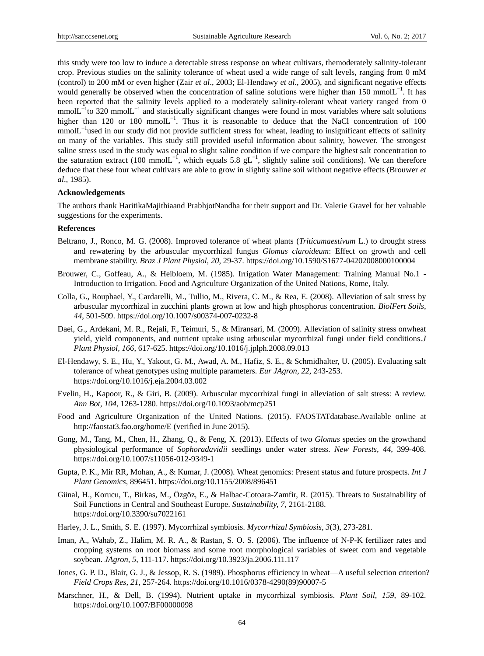this study were too low to induce a detectable stress response on wheat cultivars, themoderately salinity-tolerant crop. Previous studies on the salinity tolerance of wheat used a wide range of salt levels, ranging from 0 mM (control) to 200 mM or even higher (Zair *et al*., 2003; El-Hendawy *et al*., 2005), and significant negative effects would generally be observed when the concentration of saline solutions were higher than 150 mmolL<sup>-1</sup>. It has been reported that the salinity levels applied to a moderately salinity-tolerant wheat variety ranged from 0 mmolL<sup>-1</sup>to 320 mmolL<sup>-1</sup> and statistically significant changes were found in most variables where salt solutions higher than 120 or 180 mmol $L^{-1}$ . Thus it is reasonable to deduce that the NaCl concentration of 100 mmolL<sup>-1</sup>used in our study did not provide sufficient stress for wheat, leading to insignificant effects of salinity on many of the variables. This study still provided useful information about salinity, however. The strongest saline stress used in the study was equal to slight saline condition if we compare the highest salt concentration to the saturation extract (100 mmolL<sup>-1</sup>, which equals 5.8 gL<sup>-1</sup>, slightly saline soil conditions). We can therefore deduce that these four wheat cultivars are able to grow in slightly saline soil without negative effects (Brouwer *et al*., 1985).

## **Acknowledgements**

The authors thank HaritikaMajithiaand PrabhjotNandha for their support and Dr. Valerie Gravel for her valuable suggestions for the experiments.

#### **References**

- Beltrano, J., Ronco, M. G. (2008). Improved tolerance of wheat plants (*Triticumaestivum* L.) to drought stress and rewatering by the arbuscular mycorrhizal fungus *Glomus claroideum*: Effect on growth and cell membrane stability. *Braz J Plant Physiol, 20*, 29-37. https://doi.org/10.1590/S1677-04202008000100004
- Brouwer, C., Goffeau, A., & Heibloem, M. (1985). Irrigation Water Management: Training Manual No.1 Introduction to Irrigation. Food and Agriculture Organization of the United Nations, Rome, Italy.
- Colla, G., Rouphael, Y., Cardarelli, M., Tullio, M., Rivera, C. M., & Rea, E. (2008). Alleviation of salt stress by arbuscular mycorrhizal in zucchini plants grown at low and high phosphorus concentration. *BiolFert Soils, 44*, 501-509. https://doi.org/10.1007/s00374-007-0232-8
- Daei, G., Ardekani, M. R., Rejali, F., Teimuri, S., & Miransari, M. (2009). Alleviation of salinity stress onwheat yield, yield components, and nutrient uptake using arbuscular mycorrhizal fungi under field conditions.*J Plant Physiol, 166*, 617-625. https://doi.org/10.1016/j.jplph.2008.09.013
- El-Hendawy, S. E., Hu, Y., Yakout, G. M., Awad, A. M., Hafiz, S. E., & Schmidhalter, U. (2005). Evaluating salt tolerance of wheat genotypes using multiple parameters. *Eur JAgron, 22*, 243-253. https://doi.org/10.1016/j.eja.2004.03.002
- Evelin, H., Kapoor, R., & Giri, B. (2009). Arbuscular mycorrhizal fungi in alleviation of salt stress: A review. *Ann Bot, 104*, 1263-1280. https://doi.org/10.1093/aob/mcp251
- Food and Agriculture Organization of the United Nations. (2015). FAOSTATdatabase.Available online at <http://faostat3.fao.org/home/E> (verified in June 2015).
- Gong, M., Tang, M., Chen, H., Zhang, Q., & Feng, X. (2013). Effects of two *Glomus* species on the growthand physiological performance of *Sophoradavidii* seedlings under water stress. *New Forests, 44*, 399-408. https://doi.org/10.1007/s11056-012-9349-1
- Gupta, P. K., Mir RR, Mohan, A., & Kumar, J. (2008). Wheat genomics: Present status and future prospects. *Int J Plant Genomics*, 896451. https://doi.org/10.1155/2008/896451
- Günal, H., Korucu, T., Birkas, M., Özgöz, E., & Halbac-Cotoara-Zamfir, R. (2015). Threats to Sustainability of Soil Functions in Central and Southeast Europe. *Sustainability, 7*, 2161-2188. https://doi.org/10.3390/su7022161
- Harley, J. L., Smith, S. E. (1997). Mycorrhizal symbiosis. *Mycorrhizal Symbiosis, 3*(3), 273-281.
- Iman, A., Wahab, Z., Halim, M. R. A., & Rastan, S. O. S. (2006). The influence of N-P-K fertilizer rates and cropping systems on root biomass and some root morphological variables of sweet corn and vegetable soybean. *JAgron, 5*, 111-117. https://doi.org/10.3923/ja.2006.111.117
- Jones, G. P. D., Blair, G. J., & Jessop, R. S. (1989). Phosphorus efficiency in wheat—A useful selection criterion? *Field Crops Res, 21*, 257-264. https://doi.org/10.1016/0378-4290(89)90007-5
- Marschner, H., & Dell, B. (1994). Nutrient uptake in mycorrhizal symbiosis. *Plant Soil*, *159*, 89-102. https://doi.org/10.1007/BF00000098